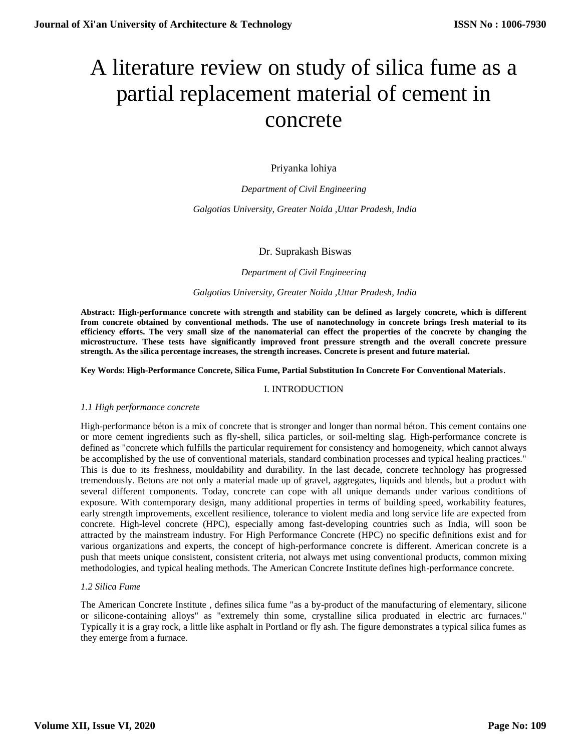# A literature review on study of silica fume as a partial replacement material of cement in concrete

Priyanka lohiya

*Department of Civil Engineering Galgotias University, Greater Noida ,Uttar Pradesh, India*

# Dr. Suprakash Biswas

#### *Department of Civil Engineering*

## *Galgotias University, Greater Noida ,Uttar Pradesh, India*

**Abstract: High-performance concrete with strength and stability can be defined as largely concrete, which is different from concrete obtained by conventional methods. The use of nanotechnology in concrete brings fresh material to its efficiency efforts. The very small size of the nanomaterial can effect the properties of the concrete by changing the microstructure. These tests have significantly improved front pressure strength and the overall concrete pressure strength. As the silica percentage increases, the strength increases. Concrete is present and future material.**

**Key Words: High-Performance Concrete, Silica Fume, Partial Substitution In Concrete For Conventional Materials**.

## I. INTRODUCTION

## *1.1 High performance concrete*

High-performance béton is a mix of concrete that is stronger and longer than normal béton. This cement contains one or more cement ingredients such as fly-shell, silica particles, or soil-melting slag. High-performance concrete is defined as "concrete which fulfills the particular requirement for consistency and homogeneity, which cannot always be accomplished by the use of conventional materials, standard combination processes and typical healing practices." This is due to its freshness, mouldability and durability. In the last decade, concrete technology has progressed tremendously. Betons are not only a material made up of gravel, aggregates, liquids and blends, but a product with several different components. Today, concrete can cope with all unique demands under various conditions of exposure. With contemporary design, many additional properties in terms of building speed, workability features, early strength improvements, excellent resilience, tolerance to violent media and long service life are expected from concrete. High-level concrete (HPC), especially among fast-developing countries such as India, will soon be attracted by the mainstream industry. For High Performance Concrete (HPC) no specific definitions exist and for various organizations and experts, the concept of high-performance concrete is different. American concrete is a push that meets unique consistent, consistent criteria, not always met using conventional products, common mixing methodologies, and typical healing methods. The American Concrete Institute defines high-performance concrete.

## *1.2 Silica Fume*

The American Concrete Institute , defines silica fume "as a by-product of the manufacturing of elementary, silicone or silicone-containing alloys" as "extremely thin some, crystalline silica produated in electric arc furnaces." Typically it is a gray rock, a little like asphalt in Portland or fly ash. The figure demonstrates a typical silica fumes as they emerge from a furnace.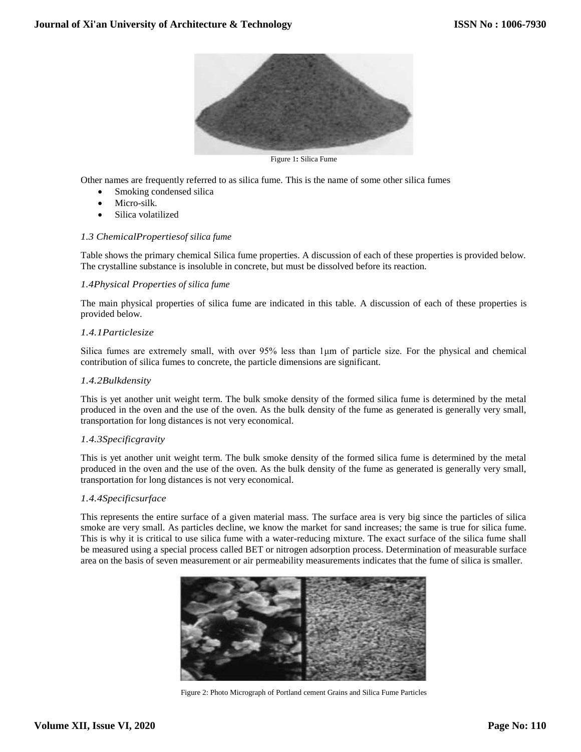

Figure 1**:** Silica Fume

Other names are frequently referred to as silica fume. This is the name of some other silica fumes

- Smoking condensed silica
- Micro-silk.
- Silica volatilized

# *1.3 ChemicalPropertiesof silica fume*

Table shows the primary chemical Silica fume properties. A discussion of each of these properties is provided below. The crystalline substance is insoluble in concrete, but must be dissolved before its reaction.

# *1.4Physical Properties of silica fume*

The main physical properties of silica fume are indicated in this table. A discussion of each of these properties is provided below.

# *1.4.1Particlesize*

Silica fumes are extremely small, with over 95% less than 1μm of particle size. For the physical and chemical contribution of silica fumes to concrete, the particle dimensions are significant.

# *1.4.2Bulkdensity*

This is yet another unit weight term. The bulk smoke density of the formed silica fume is determined by the metal produced in the oven and the use of the oven. As the bulk density of the fume as generated is generally very small, transportation for long distances is not very economical.

# *1.4.3Specificgravity*

This is yet another unit weight term. The bulk smoke density of the formed silica fume is determined by the metal produced in the oven and the use of the oven. As the bulk density of the fume as generated is generally very small, transportation for long distances is not very economical.

# *1.4.4Specificsurface*

This represents the entire surface of a given material mass. The surface area is very big since the particles of silica smoke are very small. As particles decline, we know the market for sand increases; the same is true for silica fume. This is why it is critical to use silica fume with a water-reducing mixture. The exact surface of the silica fume shall be measured using a special process called BET or nitrogen adsorption process. Determination of measurable surface area on the basis of seven measurement or air permeability measurements indicates that the fume of silica is smaller.



Figure 2: Photo Micrograph of Portland cement Grains and Silica Fume Particles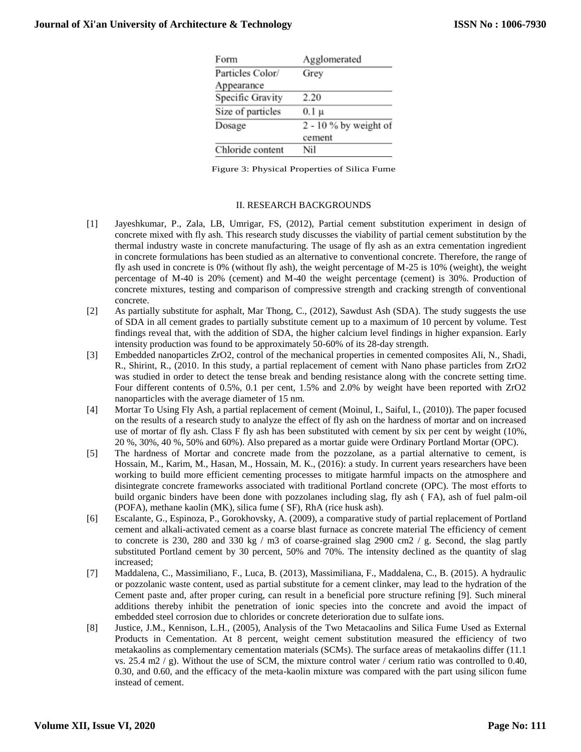| Agglomerated            |
|-------------------------|
| Grey                    |
|                         |
| 2.20                    |
| 0.1 μ                   |
| $2 - 10$ % by weight of |
| cement                  |
| Nil                     |
|                         |

Figure 3: Physical Properties of Silica Fume

#### II. RESEARCH BACKGROUNDS

- [1] Jayeshkumar, P., Zala, LB, Umrigar, FS, (2012), Partial cement substitution experiment in design of concrete mixed with fly ash. This research study discusses the viability of partial cement substitution by the thermal industry waste in concrete manufacturing. The usage of fly ash as an extra cementation ingredient in concrete formulations has been studied as an alternative to conventional concrete. Therefore, the range of fly ash used in concrete is 0% (without fly ash), the weight percentage of M-25 is 10% (weight), the weight percentage of M-40 is 20% (cement) and M-40 the weight percentage (cement) is 30%. Production of concrete mixtures, testing and comparison of compressive strength and cracking strength of conventional concrete.
- [2] As partially substitute for asphalt, Mar Thong, C., (2012), Sawdust Ash (SDA). The study suggests the use of SDA in all cement grades to partially substitute cement up to a maximum of 10 percent by volume. Test findings reveal that, with the addition of SDA, the higher calcium level findings in higher expansion. Early intensity production was found to be approximately 50-60% of its 28-day strength.
- [3] Embedded nanoparticles ZrO2, control of the mechanical properties in cemented composites Ali, N., Shadi, R., Shirint, R., (2010. In this study, a partial replacement of cement with Nano phase particles from ZrO2 was studied in order to detect the tense break and bending resistance along with the concrete setting time. Four different contents of 0.5%, 0.1 per cent, 1.5% and 2.0% by weight have been reported with ZrO2 nanoparticles with the average diameter of 15 nm.
- [4] Mortar To Using Fly Ash, a partial replacement of cement (Moinul, I., Saiful, I., (2010)). The paper focused on the results of a research study to analyze the effect of fly ash on the hardness of mortar and on increased use of mortar of fly ash. Class F fly ash has been substituted with cement by six per cent by weight (10%, 20 %, 30%, 40 %, 50% and 60%). Also prepared as a mortar guide were Ordinary Portland Mortar (OPC).
- [5] The hardness of Mortar and concrete made from the pozzolane, as a partial alternative to cement, is Hossain, M., Karim, M., Hasan, M., Hossain, M. K., (2016): a study. In current years researchers have been working to build more efficient cementing processes to mitigate harmful impacts on the atmosphere and disintegrate concrete frameworks associated with traditional Portland concrete (OPC). The most efforts to build organic binders have been done with pozzolanes including slag, fly ash ( FA), ash of fuel palm-oil (POFA), methane kaolin (MK), silica fume ( SF), RhA (rice husk ash).
- [6] Escalante, G., Espinoza, P., Gorokhovsky, A. (2009), a comparative study of partial replacement of Portland cement and alkali-activated cement as a coarse blast furnace as concrete material The efficiency of cement to concrete is 230, 280 and 330 kg / m3 of coarse-grained slag 2900 cm2 / g. Second, the slag partly substituted Portland cement by 30 percent, 50% and 70%. The intensity declined as the quantity of slag increased;
- [7] Maddalena, C., Massimiliano, F., Luca, B. (2013), Massimiliana, F., Maddalena, C., B. (2015). A hydraulic or pozzolanic waste content, used as partial substitute for a cement clinker, may lead to the hydration of the Cement paste and, after proper curing, can result in a beneficial pore structure refining [9]. Such mineral additions thereby inhibit the penetration of ionic species into the concrete and avoid the impact of embedded steel corrosion due to chlorides or concrete deterioration due to sulfate ions.
- [8] Justice, J.M., Kennison, L.H., (2005), Analysis of the Two Metacaolins and Silica Fume Used as External Products in Cementation. At 8 percent, weight cement substitution measured the efficiency of two metakaolins as complementary cementation materials (SCMs). The surface areas of metakaolins differ (11.1 vs. 25.4 m2  $/$  g). Without the use of SCM, the mixture control water  $/$  cerium ratio was controlled to 0.40, 0.30, and 0.60, and the efficacy of the meta-kaolin mixture was compared with the part using silicon fume instead of cement.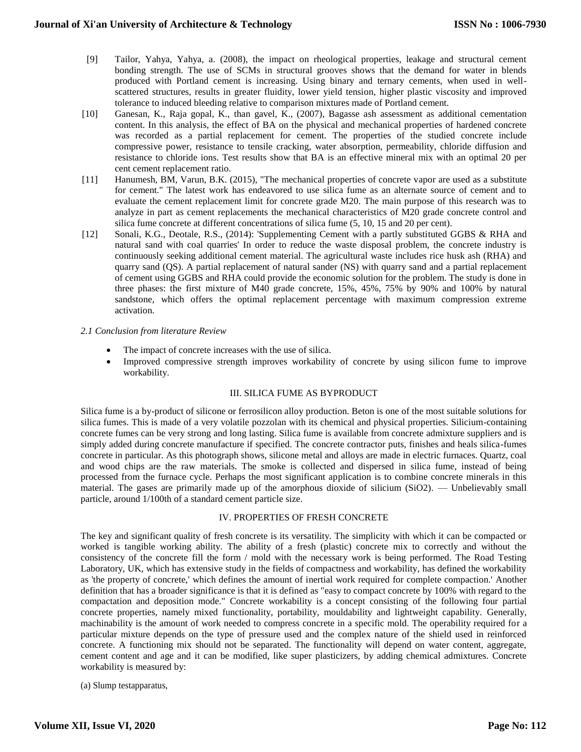- [9] Tailor, Yahya, Yahya, a. (2008), the impact on rheological properties, leakage and structural cement bonding strength. The use of SCMs in structural grooves shows that the demand for water in blends produced with Portland cement is increasing. Using binary and ternary cements, when used in wellscattered structures, results in greater fluidity, lower yield tension, higher plastic viscosity and improved tolerance to induced bleeding relative to comparison mixtures made of Portland cement.
- [10] Ganesan, K., Raja gopal, K., than gavel, K., (2007), Bagasse ash assessment as additional cementation content. In this analysis, the effect of BA on the physical and mechanical properties of hardened concrete was recorded as a partial replacement for cement. The properties of the studied concrete include compressive power, resistance to tensile cracking, water absorption, permeability, chloride diffusion and resistance to chloride ions. Test results show that BA is an effective mineral mix with an optimal 20 per cent cement replacement ratio.
- [11] Hanumesh, BM, Varun, B.K. (2015), "The mechanical properties of concrete vapor are used as a substitute for cement." The latest work has endeavored to use silica fume as an alternate source of cement and to evaluate the cement replacement limit for concrete grade M20. The main purpose of this research was to analyze in part as cement replacements the mechanical characteristics of M20 grade concrete control and silica fume concrete at different concentrations of silica fume (5, 10, 15 and 20 per cent).
- [12] Sonali, K.G., Deotale, R.S., (2014): 'Supplementing Cement with a partly substituted GGBS & RHA and natural sand with coal quarries' In order to reduce the waste disposal problem, the concrete industry is continuously seeking additional cement material. The agricultural waste includes rice husk ash (RHA) and quarry sand (QS). A partial replacement of natural sander (NS) with quarry sand and a partial replacement of cement using GGBS and RHA could provide the economic solution for the problem. The study is done in three phases: the first mixture of M40 grade concrete, 15%, 45%, 75% by 90% and 100% by natural sandstone, which offers the optimal replacement percentage with maximum compression extreme activation.

#### *2.1 Conclusion from literature Review*

- The impact of concrete increases with the use of silica.
- Improved compressive strength improves workability of concrete by using silicon fume to improve workability.

## III. SILICA FUME AS BYPRODUCT

Silica fume is a by-product of silicone or ferrosilicon alloy production. Beton is one of the most suitable solutions for silica fumes. This is made of a very volatile pozzolan with its chemical and physical properties. Silicium-containing concrete fumes can be very strong and long lasting. Silica fume is available from concrete admixture suppliers and is simply added during concrete manufacture if specified. The concrete contractor puts, finishes and heals silica-fumes concrete in particular. As this photograph shows, silicone metal and alloys are made in electric furnaces. Quartz, coal and wood chips are the raw materials. The smoke is collected and dispersed in silica fume, instead of being processed from the furnace cycle. Perhaps the most significant application is to combine concrete minerals in this material. The gases are primarily made up of the amorphous dioxide of silicium (SiO2). — Unbelievably small particle, around 1/100th of a standard cement particle size.

# IV. PROPERTIES OF FRESH CONCRETE

The key and significant quality of fresh concrete is its versatility. The simplicity with which it can be compacted or worked is tangible working ability. The ability of a fresh (plastic) concrete mix to correctly and without the consistency of the concrete fill the form / mold with the necessary work is being performed. The Road Testing Laboratory, UK, which has extensive study in the fields of compactness and workability, has defined the workability as 'the property of concrete,' which defines the amount of inertial work required for complete compaction.' Another definition that has a broader significance is that it is defined as "easy to compact concrete by 100% with regard to the compactation and deposition mode." Concrete workability is a concept consisting of the following four partial concrete properties, namely mixed functionality, portability, mouldability and lightweight capability. Generally, machinability is the amount of work needed to compress concrete in a specific mold. The operability required for a particular mixture depends on the type of pressure used and the complex nature of the shield used in reinforced concrete. A functioning mix should not be separated. The functionality will depend on water content, aggregate, cement content and age and it can be modified, like super plasticizers, by adding chemical admixtures. Concrete workability is measured by:

(a) Slump testapparatus,